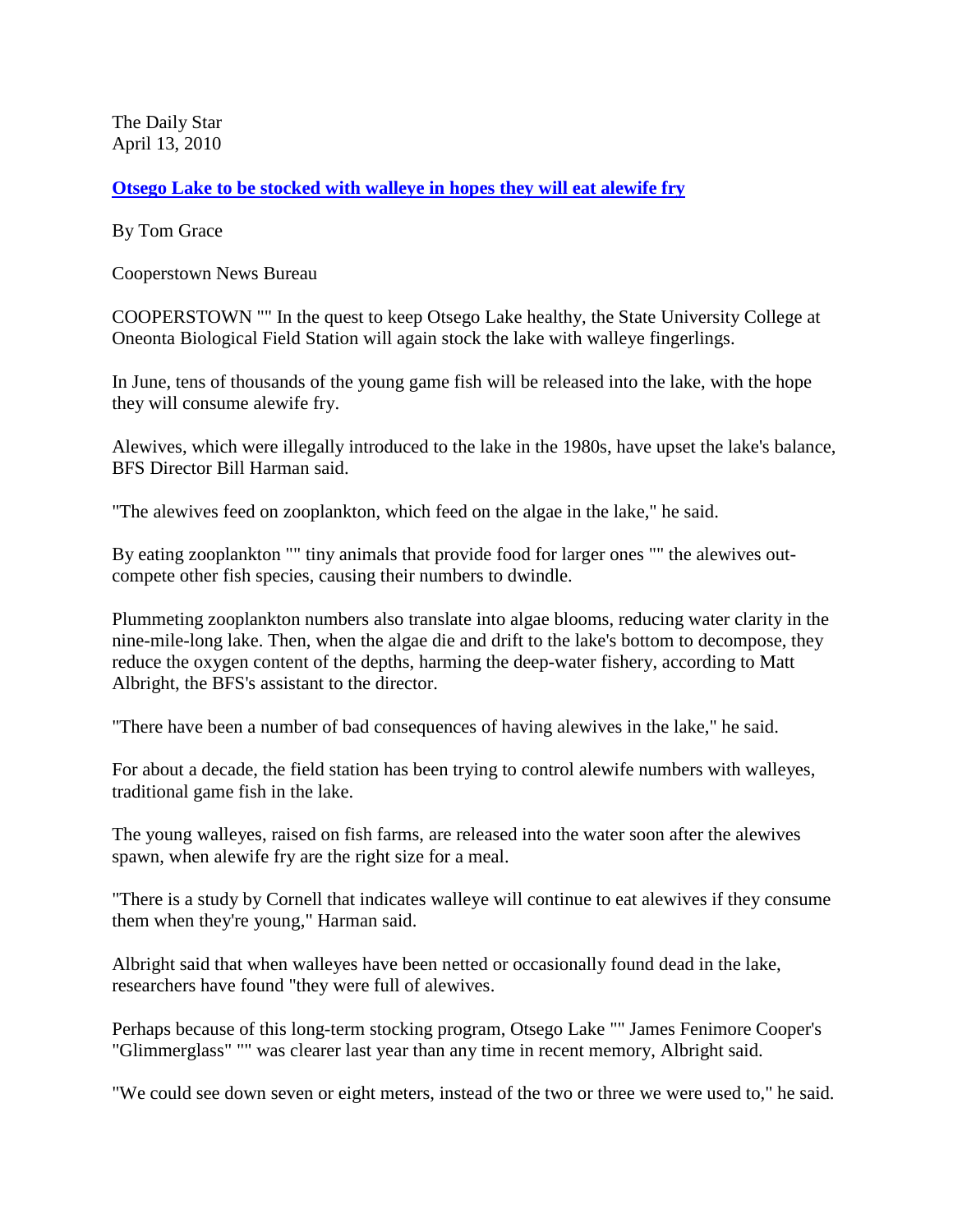The Daily Star April 13, 2010

**[Otsego Lake to be stocked with walleye in hopes they will eat alewife fry](http://www.thedailystar.com/local/x1123623081/Otsego-Lake-to-be-stocked-with-walleye-in-hopes-they-will-eat-alewife-fry)**

By Tom Grace

Cooperstown News Bureau

COOPERSTOWN "" In the quest to keep Otsego Lake healthy, the State University College at Oneonta Biological Field Station will again stock the lake with walleye fingerlings.

In June, tens of thousands of the young game fish will be released into the lake, with the hope they will consume alewife fry.

Alewives, which were illegally introduced to the lake in the 1980s, have upset the lake's balance, BFS Director Bill Harman said.

"The alewives feed on zooplankton, which feed on the algae in the lake," he said.

By eating zooplankton "" tiny animals that provide food for larger ones "" the alewives outcompete other fish species, causing their numbers to dwindle.

Plummeting zooplankton numbers also translate into algae blooms, reducing water clarity in the nine-mile-long lake. Then, when the algae die and drift to the lake's bottom to decompose, they reduce the oxygen content of the depths, harming the deep-water fishery, according to Matt Albright, the BFS's assistant to the director.

"There have been a number of bad consequences of having alewives in the lake," he said.

For about a decade, the field station has been trying to control alewife numbers with walleyes, traditional game fish in the lake.

The young walleyes, raised on fish farms, are released into the water soon after the alewives spawn, when alewife fry are the right size for a meal.

"There is a study by Cornell that indicates walleye will continue to eat alewives if they consume them when they're young," Harman said.

Albright said that when walleyes have been netted or occasionally found dead in the lake, researchers have found "they were full of alewives.

Perhaps because of this long-term stocking program, Otsego Lake "" James Fenimore Cooper's "Glimmerglass" "" was clearer last year than any time in recent memory, Albright said.

"We could see down seven or eight meters, instead of the two or three we were used to," he said.